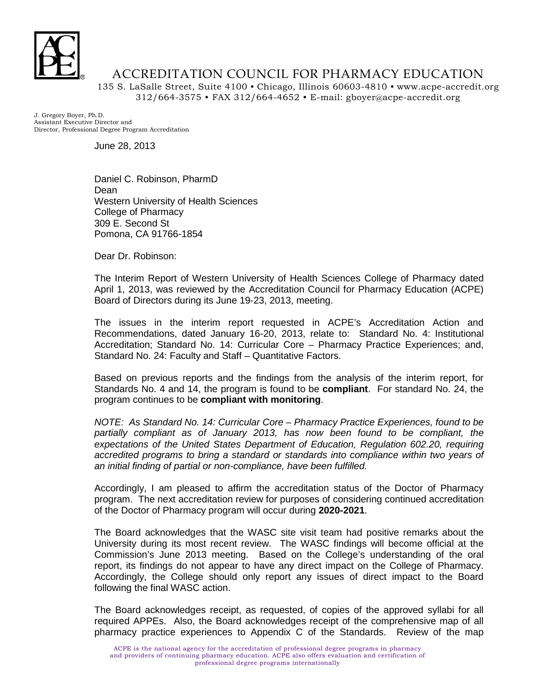

## ACCREDITATION COUNCIL FOR PHARMACY EDUCATION

135 S. LaSalle Street, Suite 4100 • Chicago, Illinois 60603-4810 • www.acpe-accredit.org 312/664-3575 • FAX 312/664-4652 • E-mail: gboyer@acpe-accredit.org

J. Gregory Boyer, Ph.D. Assistant Executive Director and Director, Professional Degree Program Accreditation

June 28, 2013

Daniel C. Robinson, PharmD Dean Western University of Health Sciences College of Pharmacy 309 E. Second St Pomona, CA 91766-1854

Dear Dr. Robinson:

The Interim Report of Western University of Health Sciences College of Pharmacy dated April 1, 2013, was reviewed by the Accreditation Council for Pharmacy Education (ACPE) Board of Directors during its June 19-23, 2013, meeting.

The issues in the interim report requested in ACPE's Accreditation Action and Recommendations, dated January 16-20, 2013, relate to: Standard No. 4: Institutional Accreditation; Standard No. 14: Curricular Core – Pharmacy Practice Experiences; and, Standard No. 24: Faculty and Staff – Quantitative Factors.

Based on previous reports and the findings from the analysis of the interim report, for Standards No. 4 and 14, the program is found to be **compliant**. For standard No. 24, the program continues to be **compliant with monitoring**.

*NOTE: As Standard No. 14: Curricular Core – Pharmacy Practice Experiences, found to be*  partially compliant as of January 2013, has now been found to be compliant, the *expectations of the United States Department of Education, Regulation 602.20, requiring accredited programs to bring a standard or standards into compliance within two years of an initial finding of partial or non-compliance, have been fulfilled.*

Accordingly, I am pleased to affirm the accreditation status of the Doctor of Pharmacy program. The next accreditation review for purposes of considering continued accreditation of the Doctor of Pharmacy program will occur during **2020-2021**.

The Board acknowledges that the WASC site visit team had positive remarks about the University during its most recent review. The WASC findings will become official at the Commission's June 2013 meeting. Based on the College's understanding of the oral report, its findings do not appear to have any direct impact on the College of Pharmacy. Accordingly, the College should only report any issues of direct impact to the Board following the final WASC action.

The Board acknowledges receipt, as requested, of copies of the approved syllabi for all required APPEs. Also, the Board acknowledges receipt of the comprehensive map of all pharmacy practice experiences to Appendix C of the Standards. Review of the map